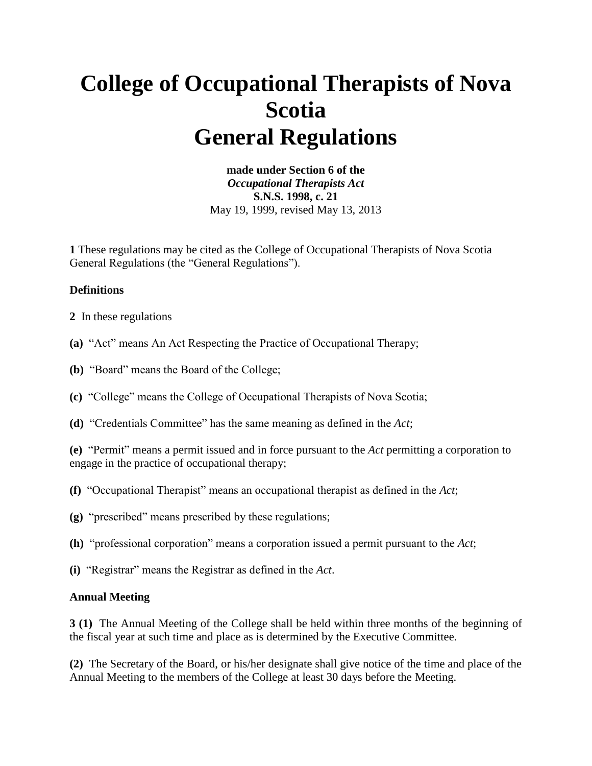# **College of Occupational Therapists of Nova Scotia General Regulations**

**made under Section 6 of the**  *Occupational Therapists Act* **S.N.S. 1998, c. 21**  May 19, 1999, revised May 13, 2013

**1** These regulations may be cited as the College of Occupational Therapists of Nova Scotia General Regulations (the "General Regulations").

#### **Definitions**

- **2** In these regulations
- **(a)** "Act" means An Act Respecting the Practice of Occupational Therapy;
- **(b)** "Board" means the Board of the College;
- **(c)** "College" means the College of Occupational Therapists of Nova Scotia;
- **(d)** "Credentials Committee" has the same meaning as defined in the *Act*;

**(e)** "Permit" means a permit issued and in force pursuant to the *Act* permitting a corporation to engage in the practice of occupational therapy;

- **(f)** "Occupational Therapist" means an occupational therapist as defined in the *Act*;
- **(g)** "prescribed" means prescribed by these regulations;
- **(h)** "professional corporation" means a corporation issued a permit pursuant to the *Act*;
- **(i)** "Registrar" means the Registrar as defined in the *Act*.

#### **Annual Meeting**

**3 (1)** The Annual Meeting of the College shall be held within three months of the beginning of the fiscal year at such time and place as is determined by the Executive Committee.

**(2)** The Secretary of the Board, or his/her designate shall give notice of the time and place of the Annual Meeting to the members of the College at least 30 days before the Meeting.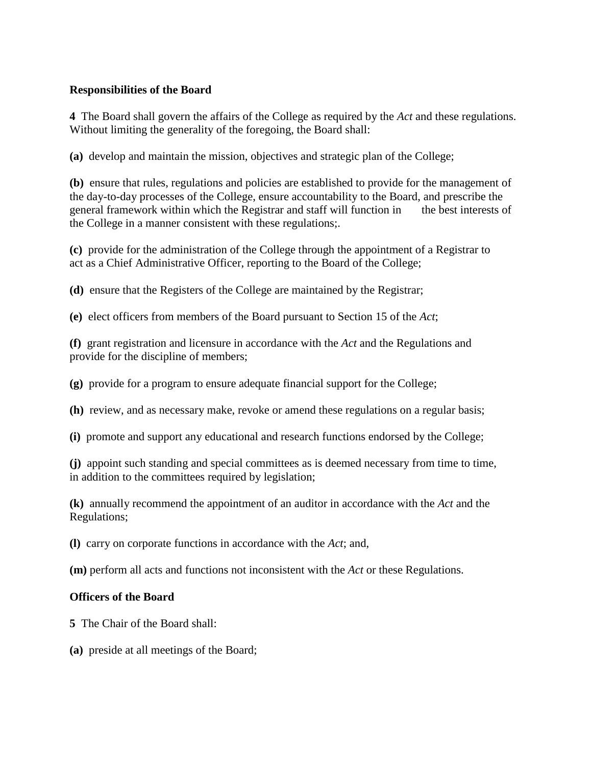#### **Responsibilities of the Board**

**4** The Board shall govern the affairs of the College as required by the *Act* and these regulations. Without limiting the generality of the foregoing, the Board shall:

**(a)** develop and maintain the mission, objectives and strategic plan of the College;

**(b)** ensure that rules, regulations and policies are established to provide for the management of the day-to-day processes of the College, ensure accountability to the Board, and prescribe the general framework within which the Registrar and staff will function in the best interests of the College in a manner consistent with these regulations;.

**(c)** provide for the administration of the College through the appointment of a Registrar to act as a Chief Administrative Officer, reporting to the Board of the College;

**(d)** ensure that the Registers of the College are maintained by the Registrar;

**(e)** elect officers from members of the Board pursuant to Section 15 of the *Act*;

**(f)** grant registration and licensure in accordance with the *Act* and the Regulations and provide for the discipline of members;

**(g)** provide for a program to ensure adequate financial support for the College;

**(h)** review, and as necessary make, revoke or amend these regulations on a regular basis;

**(i)** promote and support any educational and research functions endorsed by the College;

**(j)** appoint such standing and special committees as is deemed necessary from time to time, in addition to the committees required by legislation;

**(k)** annually recommend the appointment of an auditor in accordance with the *Act* and the Regulations;

**(l)** carry on corporate functions in accordance with the *Act*; and,

**(m)** perform all acts and functions not inconsistent with the *Act* or these Regulations.

#### **Officers of the Board**

**5** The Chair of the Board shall:

**(a)** preside at all meetings of the Board;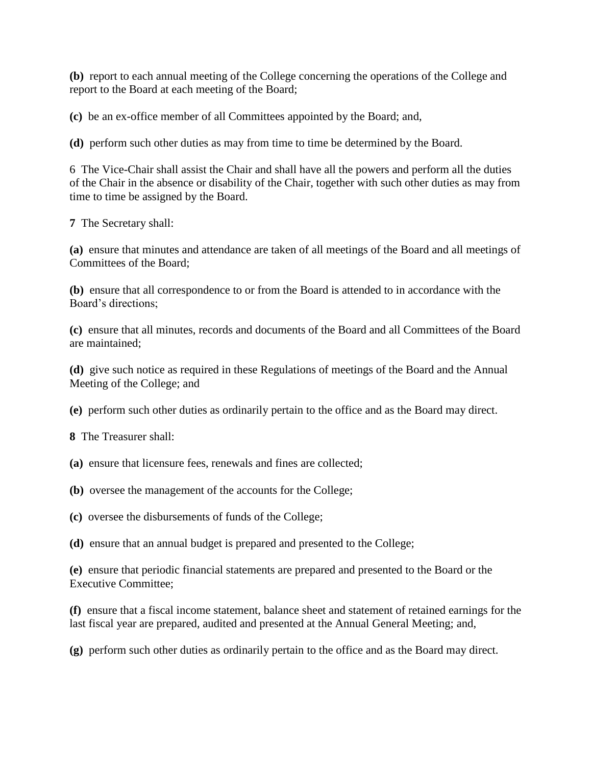**(b)** report to each annual meeting of the College concerning the operations of the College and report to the Board at each meeting of the Board;

**(c)** be an ex-office member of all Committees appointed by the Board; and,

**(d)** perform such other duties as may from time to time be determined by the Board.

6 The Vice-Chair shall assist the Chair and shall have all the powers and perform all the duties of the Chair in the absence or disability of the Chair, together with such other duties as may from time to time be assigned by the Board.

**7** The Secretary shall:

**(a)** ensure that minutes and attendance are taken of all meetings of the Board and all meetings of Committees of the Board;

**(b)** ensure that all correspondence to or from the Board is attended to in accordance with the Board's directions;

**(c)** ensure that all minutes, records and documents of the Board and all Committees of the Board are maintained;

**(d)** give such notice as required in these Regulations of meetings of the Board and the Annual Meeting of the College; and

**(e)** perform such other duties as ordinarily pertain to the office and as the Board may direct.

**8** The Treasurer shall:

- **(a)** ensure that licensure fees, renewals and fines are collected;
- **(b)** oversee the management of the accounts for the College;
- **(c)** oversee the disbursements of funds of the College;

**(d)** ensure that an annual budget is prepared and presented to the College;

**(e)** ensure that periodic financial statements are prepared and presented to the Board or the Executive Committee;

**(f)** ensure that a fiscal income statement, balance sheet and statement of retained earnings for the last fiscal year are prepared, audited and presented at the Annual General Meeting; and,

**(g)** perform such other duties as ordinarily pertain to the office and as the Board may direct.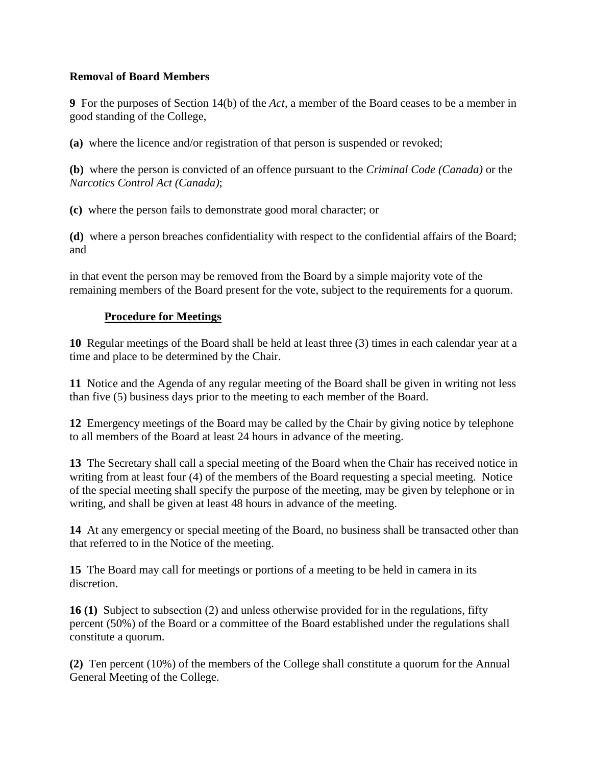#### **Removal of Board Members**

**9** For the purposes of Section 14(b) of the *Act*, a member of the Board ceases to be a member in good standing of the College,

**(a)** where the licence and/or registration of that person is suspended or revoked;

**(b)** where the person is convicted of an offence pursuant to the *Criminal Code (Canada)* or the *Narcotics Control Act (Canada)*;

**(c)** where the person fails to demonstrate good moral character; or

**(d)** where a person breaches confidentiality with respect to the confidential affairs of the Board; and

in that event the person may be removed from the Board by a simple majority vote of the remaining members of the Board present for the vote, subject to the requirements for a quorum.

#### **Procedure for Meetings**

**10** Regular meetings of the Board shall be held at least three (3) times in each calendar year at a time and place to be determined by the Chair.

**11** Notice and the Agenda of any regular meeting of the Board shall be given in writing not less than five (5) business days prior to the meeting to each member of the Board.

**12** Emergency meetings of the Board may be called by the Chair by giving notice by telephone to all members of the Board at least 24 hours in advance of the meeting.

**13** The Secretary shall call a special meeting of the Board when the Chair has received notice in writing from at least four (4) of the members of the Board requesting a special meeting. Notice of the special meeting shall specify the purpose of the meeting, may be given by telephone or in writing, and shall be given at least 48 hours in advance of the meeting.

**14** At any emergency or special meeting of the Board, no business shall be transacted other than that referred to in the Notice of the meeting.

**15** The Board may call for meetings or portions of a meeting to be held in camera in its discretion.

**16 (1)** Subject to subsection (2) and unless otherwise provided for in the regulations, fifty percent (50%) of the Board or a committee of the Board established under the regulations shall constitute a quorum.

**(2)** Ten percent (10%) of the members of the College shall constitute a quorum for the Annual General Meeting of the College.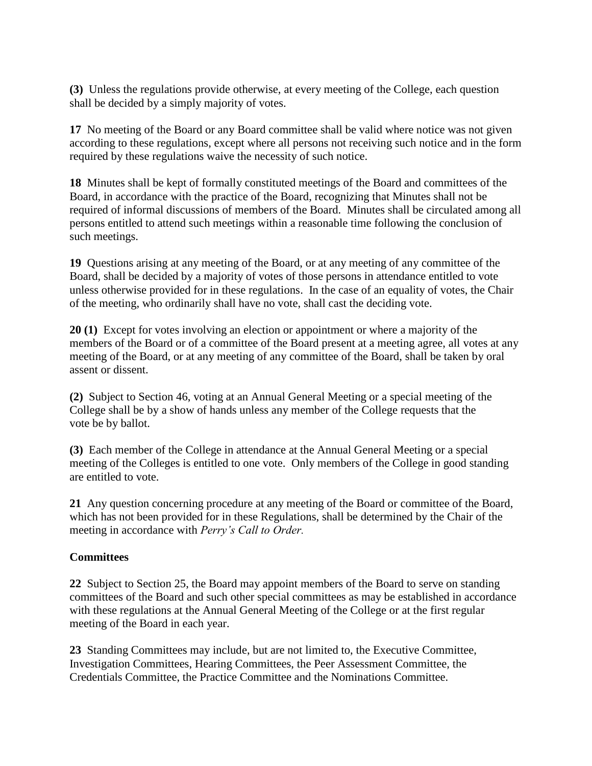**(3)** Unless the regulations provide otherwise, at every meeting of the College, each question shall be decided by a simply majority of votes.

**17** No meeting of the Board or any Board committee shall be valid where notice was not given according to these regulations, except where all persons not receiving such notice and in the form required by these regulations waive the necessity of such notice.

**18** Minutes shall be kept of formally constituted meetings of the Board and committees of the Board, in accordance with the practice of the Board, recognizing that Minutes shall not be required of informal discussions of members of the Board. Minutes shall be circulated among all persons entitled to attend such meetings within a reasonable time following the conclusion of such meetings.

**19** Questions arising at any meeting of the Board, or at any meeting of any committee of the Board, shall be decided by a majority of votes of those persons in attendance entitled to vote unless otherwise provided for in these regulations. In the case of an equality of votes, the Chair of the meeting, who ordinarily shall have no vote, shall cast the deciding vote.

**20 (1)** Except for votes involving an election or appointment or where a majority of the members of the Board or of a committee of the Board present at a meeting agree, all votes at any meeting of the Board, or at any meeting of any committee of the Board, shall be taken by oral assent or dissent.

**(2)** Subject to Section 46, voting at an Annual General Meeting or a special meeting of the College shall be by a show of hands unless any member of the College requests that the vote be by ballot.

**(3)** Each member of the College in attendance at the Annual General Meeting or a special meeting of the Colleges is entitled to one vote. Only members of the College in good standing are entitled to vote.

**21** Any question concerning procedure at any meeting of the Board or committee of the Board, which has not been provided for in these Regulations, shall be determined by the Chair of the meeting in accordance with *Perry's Call to Order.*

## **Committees**

**22** Subject to Section 25, the Board may appoint members of the Board to serve on standing committees of the Board and such other special committees as may be established in accordance with these regulations at the Annual General Meeting of the College or at the first regular meeting of the Board in each year.

**23** Standing Committees may include, but are not limited to, the Executive Committee, Investigation Committees, Hearing Committees, the Peer Assessment Committee, the Credentials Committee, the Practice Committee and the Nominations Committee.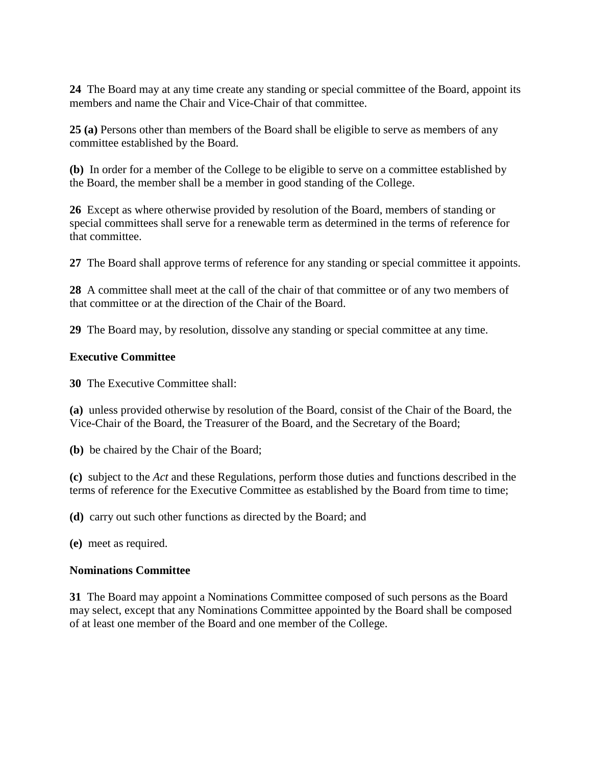**24** The Board may at any time create any standing or special committee of the Board, appoint its members and name the Chair and Vice-Chair of that committee.

**25 (a)** Persons other than members of the Board shall be eligible to serve as members of any committee established by the Board.

**(b)** In order for a member of the College to be eligible to serve on a committee established by the Board, the member shall be a member in good standing of the College.

**26** Except as where otherwise provided by resolution of the Board, members of standing or special committees shall serve for a renewable term as determined in the terms of reference for that committee.

**27** The Board shall approve terms of reference for any standing or special committee it appoints.

**28** A committee shall meet at the call of the chair of that committee or of any two members of that committee or at the direction of the Chair of the Board.

**29** The Board may, by resolution, dissolve any standing or special committee at any time.

# **Executive Committee**

**30** The Executive Committee shall:

**(a)** unless provided otherwise by resolution of the Board, consist of the Chair of the Board, the Vice-Chair of the Board, the Treasurer of the Board, and the Secretary of the Board;

**(b)** be chaired by the Chair of the Board;

**(c)** subject to the *Act* and these Regulations, perform those duties and functions described in the terms of reference for the Executive Committee as established by the Board from time to time;

**(d)** carry out such other functions as directed by the Board; and

**(e)** meet as required.

## **Nominations Committee**

**31** The Board may appoint a Nominations Committee composed of such persons as the Board may select, except that any Nominations Committee appointed by the Board shall be composed of at least one member of the Board and one member of the College.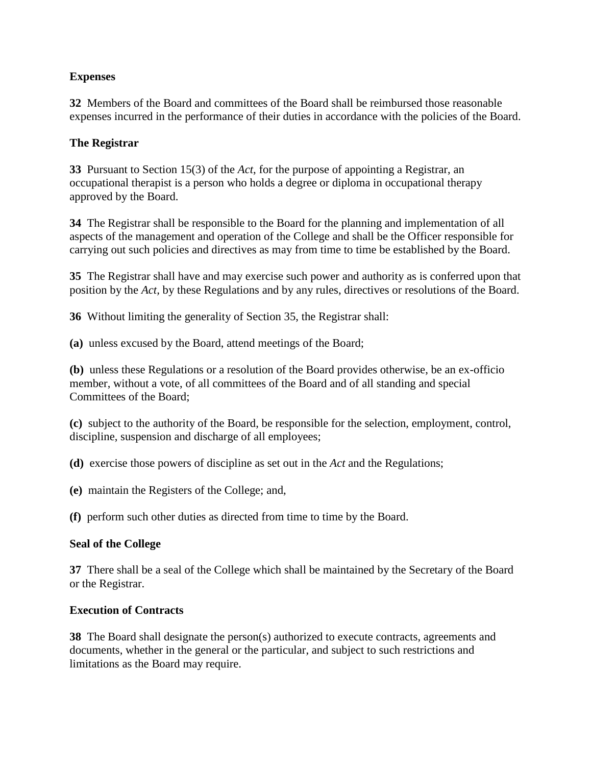## **Expenses**

**32** Members of the Board and committees of the Board shall be reimbursed those reasonable expenses incurred in the performance of their duties in accordance with the policies of the Board.

# **The Registrar**

**33** Pursuant to Section 15(3) of the *Act*, for the purpose of appointing a Registrar, an occupational therapist is a person who holds a degree or diploma in occupational therapy approved by the Board.

**34** The Registrar shall be responsible to the Board for the planning and implementation of all aspects of the management and operation of the College and shall be the Officer responsible for carrying out such policies and directives as may from time to time be established by the Board.

**35** The Registrar shall have and may exercise such power and authority as is conferred upon that position by the *Act,* by these Regulations and by any rules, directives or resolutions of the Board.

**36** Without limiting the generality of Section 35, the Registrar shall:

**(a)** unless excused by the Board, attend meetings of the Board;

**(b)** unless these Regulations or a resolution of the Board provides otherwise, be an ex-officio member, without a vote, of all committees of the Board and of all standing and special Committees of the Board;

**(c)** subject to the authority of the Board, be responsible for the selection, employment, control, discipline, suspension and discharge of all employees;

**(d)** exercise those powers of discipline as set out in the *Act* and the Regulations;

**(e)** maintain the Registers of the College; and,

**(f)** perform such other duties as directed from time to time by the Board.

## **Seal of the College**

**37** There shall be a seal of the College which shall be maintained by the Secretary of the Board or the Registrar.

## **Execution of Contracts**

**38** The Board shall designate the person(s) authorized to execute contracts, agreements and documents, whether in the general or the particular, and subject to such restrictions and limitations as the Board may require.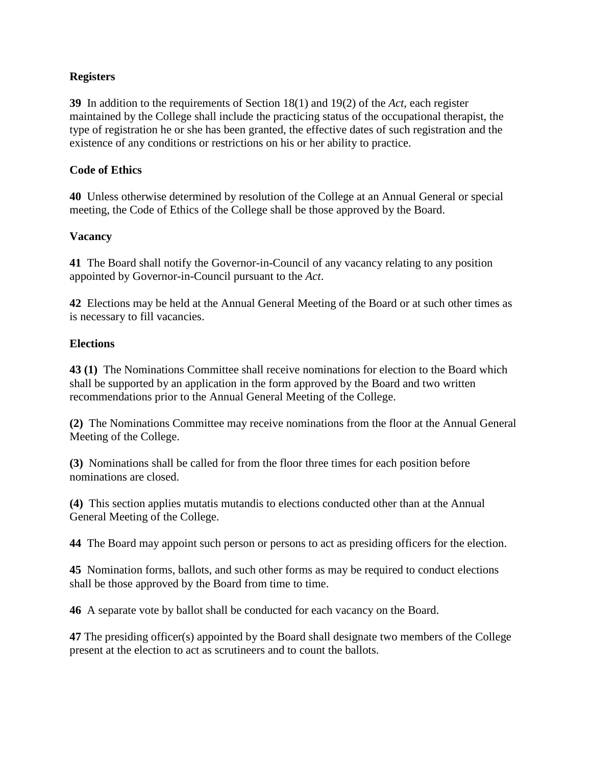## **Registers**

**39** In addition to the requirements of Section 18(1) and 19(2) of the *Act*, each register maintained by the College shall include the practicing status of the occupational therapist, the type of registration he or she has been granted, the effective dates of such registration and the existence of any conditions or restrictions on his or her ability to practice.

## **Code of Ethics**

**40** Unless otherwise determined by resolution of the College at an Annual General or special meeting, the Code of Ethics of the College shall be those approved by the Board.

# **Vacancy**

**41** The Board shall notify the Governor-in-Council of any vacancy relating to any position appointed by Governor-in-Council pursuant to the *Act*.

**42** Elections may be held at the Annual General Meeting of the Board or at such other times as is necessary to fill vacancies.

# **Elections**

**43 (1)** The Nominations Committee shall receive nominations for election to the Board which shall be supported by an application in the form approved by the Board and two written recommendations prior to the Annual General Meeting of the College.

**(2)** The Nominations Committee may receive nominations from the floor at the Annual General Meeting of the College.

**(3)** Nominations shall be called for from the floor three times for each position before nominations are closed.

**(4)** This section applies mutatis mutandis to elections conducted other than at the Annual General Meeting of the College.

**44** The Board may appoint such person or persons to act as presiding officers for the election.

**45** Nomination forms, ballots, and such other forms as may be required to conduct elections shall be those approved by the Board from time to time.

**46** A separate vote by ballot shall be conducted for each vacancy on the Board.

**47** The presiding officer(s) appointed by the Board shall designate two members of the College present at the election to act as scrutineers and to count the ballots.